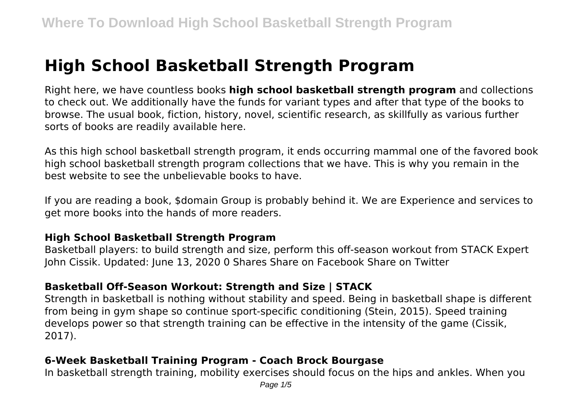# **High School Basketball Strength Program**

Right here, we have countless books **high school basketball strength program** and collections to check out. We additionally have the funds for variant types and after that type of the books to browse. The usual book, fiction, history, novel, scientific research, as skillfully as various further sorts of books are readily available here.

As this high school basketball strength program, it ends occurring mammal one of the favored book high school basketball strength program collections that we have. This is why you remain in the best website to see the unbelievable books to have.

If you are reading a book, \$domain Group is probably behind it. We are Experience and services to get more books into the hands of more readers.

#### **High School Basketball Strength Program**

Basketball players: to build strength and size, perform this off-season workout from STACK Expert John Cissik. Updated: June 13, 2020 0 Shares Share on Facebook Share on Twitter

## **Basketball Off-Season Workout: Strength and Size | STACK**

Strength in basketball is nothing without stability and speed. Being in basketball shape is different from being in gym shape so continue sport-specific conditioning (Stein, 2015). Speed training develops power so that strength training can be effective in the intensity of the game (Cissik, 2017).

## **6-Week Basketball Training Program - Coach Brock Bourgase**

In basketball strength training, mobility exercises should focus on the hips and ankles. When you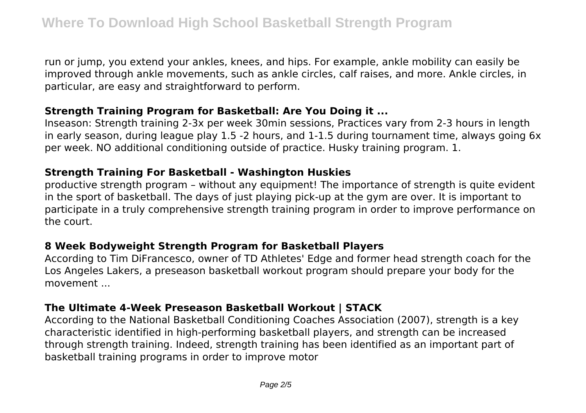run or jump, you extend your ankles, knees, and hips. For example, ankle mobility can easily be improved through ankle movements, such as ankle circles, calf raises, and more. Ankle circles, in particular, are easy and straightforward to perform.

#### **Strength Training Program for Basketball: Are You Doing it ...**

Inseason: Strength training 2-3x per week 30min sessions, Practices vary from 2-3 hours in length in early season, during league play 1.5 -2 hours, and 1-1.5 during tournament time, always going 6x per week. NO additional conditioning outside of practice. Husky training program. 1.

#### **Strength Training For Basketball - Washington Huskies**

productive strength program – without any equipment! The importance of strength is quite evident in the sport of basketball. The days of just playing pick-up at the gym are over. It is important to participate in a truly comprehensive strength training program in order to improve performance on the court.

## **8 Week Bodyweight Strength Program for Basketball Players**

According to Tim DiFrancesco, owner of TD Athletes' Edge and former head strength coach for the Los Angeles Lakers, a preseason basketball workout program should prepare your body for the movement ...

## **The Ultimate 4-Week Preseason Basketball Workout | STACK**

According to the National Basketball Conditioning Coaches Association (2007), strength is a key characteristic identified in high-performing basketball players, and strength can be increased through strength training. Indeed, strength training has been identified as an important part of basketball training programs in order to improve motor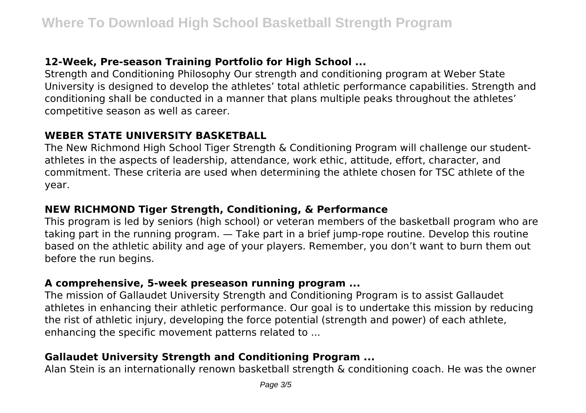## **12-Week, Pre-season Training Portfolio for High School ...**

Strength and Conditioning Philosophy Our strength and conditioning program at Weber State University is designed to develop the athletes' total athletic performance capabilities. Strength and conditioning shall be conducted in a manner that plans multiple peaks throughout the athletes' competitive season as well as career.

#### **WEBER STATE UNIVERSITY BASKETBALL**

The New Richmond High School Tiger Strength & Conditioning Program will challenge our studentathletes in the aspects of leadership, attendance, work ethic, attitude, effort, character, and commitment. These criteria are used when determining the athlete chosen for TSC athlete of the year.

#### **NEW RICHMOND Tiger Strength, Conditioning, & Performance**

This program is led by seniors (high school) or veteran members of the basketball program who are taking part in the running program. — Take part in a brief jump-rope routine. Develop this routine based on the athletic ability and age of your players. Remember, you don't want to burn them out before the run begins.

## **A comprehensive, 5-week preseason running program ...**

The mission of Gallaudet University Strength and Conditioning Program is to assist Gallaudet athletes in enhancing their athletic performance. Our goal is to undertake this mission by reducing the rist of athletic injury, developing the force potential (strength and power) of each athlete, enhancing the specific movement patterns related to ...

## **Gallaudet University Strength and Conditioning Program ...**

Alan Stein is an internationally renown basketball strength & conditioning coach. He was the owner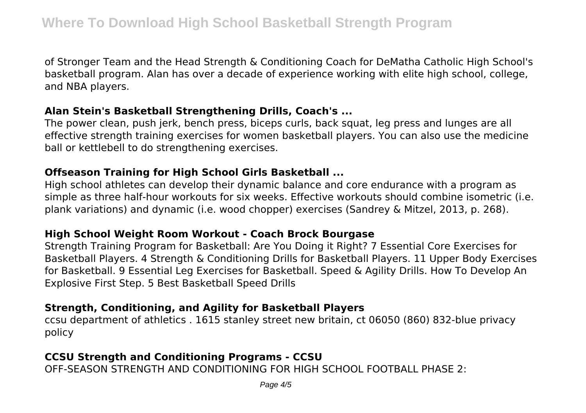of Stronger Team and the Head Strength & Conditioning Coach for DeMatha Catholic High School's basketball program. Alan has over a decade of experience working with elite high school, college, and NBA players.

#### **Alan Stein's Basketball Strengthening Drills, Coach's ...**

The power clean, push jerk, bench press, biceps curls, back squat, leg press and lunges are all effective strength training exercises for women basketball players. You can also use the medicine ball or kettlebell to do strengthening exercises.

## **Offseason Training for High School Girls Basketball ...**

High school athletes can develop their dynamic balance and core endurance with a program as simple as three half-hour workouts for six weeks. Effective workouts should combine isometric (i.e. plank variations) and dynamic (i.e. wood chopper) exercises (Sandrey & Mitzel, 2013, p. 268).

## **High School Weight Room Workout - Coach Brock Bourgase**

Strength Training Program for Basketball: Are You Doing it Right? 7 Essential Core Exercises for Basketball Players. 4 Strength & Conditioning Drills for Basketball Players. 11 Upper Body Exercises for Basketball. 9 Essential Leg Exercises for Basketball. Speed & Agility Drills. How To Develop An Explosive First Step. 5 Best Basketball Speed Drills

# **Strength, Conditioning, and Agility for Basketball Players**

ccsu department of athletics . 1615 stanley street new britain, ct 06050 (860) 832-blue privacy policy

# **CCSU Strength and Conditioning Programs - CCSU**

OFF-SEASON STRENGTH AND CONDITIONING FOR HIGH SCHOOL FOOTBALL PHASE 2: